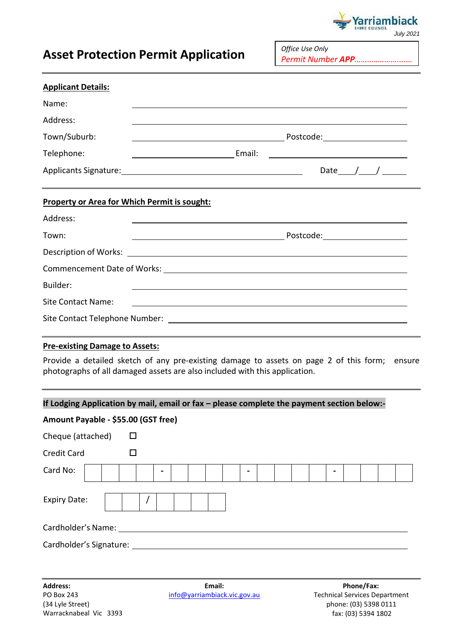

*Office Use Only*

## **Asset Protection Permit Application**

|                                       | ASSEL Protection Permit Application                                                        |                                                                                                                  |  |
|---------------------------------------|--------------------------------------------------------------------------------------------|------------------------------------------------------------------------------------------------------------------|--|
| <b>Applicant Details:</b>             |                                                                                            |                                                                                                                  |  |
| Name:                                 |                                                                                            |                                                                                                                  |  |
| Address:                              |                                                                                            | and the control of the control of the control of the control of the control of the control of the control of the |  |
| Town/Suburb:                          |                                                                                            |                                                                                                                  |  |
| Telephone:                            |                                                                                            |                                                                                                                  |  |
|                                       |                                                                                            | Date $\_\_\_\_\_\_\_\_\_\_\_\_\_\_\_\_\_\_\_\_\_\_\_\_\_\_\_$                                                    |  |
|                                       | <b>Property or Area for Which Permit is sought:</b>                                        |                                                                                                                  |  |
| Address:                              |                                                                                            |                                                                                                                  |  |
| Town:                                 |                                                                                            |                                                                                                                  |  |
|                                       |                                                                                            |                                                                                                                  |  |
|                                       |                                                                                            |                                                                                                                  |  |
| Builder:                              |                                                                                            |                                                                                                                  |  |
| <b>Site Contact Name:</b>             |                                                                                            |                                                                                                                  |  |
|                                       |                                                                                            |                                                                                                                  |  |
| <b>Pre-existing Damage to Assets:</b> |                                                                                            |                                                                                                                  |  |
|                                       | photographs of all damaged assets are also included with this application.                 | Provide a detailed sketch of any pre-existing damage to assets on page 2 of this form; ensure                    |  |
|                                       | If Lodging Application by mail, email or fax - please complete the payment section below:- |                                                                                                                  |  |
| Amount Payable - \$55.00 (GST free)   |                                                                                            |                                                                                                                  |  |
| Cheque (attached)                     | □                                                                                          |                                                                                                                  |  |
| <b>Credit Card</b>                    | $\Box$                                                                                     |                                                                                                                  |  |

Card No: **- - -** Expiry Date:  $\vert \vert \vert \vert /$ Cardholder's Name:

Cardholder's Signature:

**Email:** [info@yarriambiack.vic.gov.au](mailto:info@yarriambiack.vic.gov.au)

**Phone/Fax:** Technical Services Department phone: (03) 5398 0111 fax: (03) 5394 1802